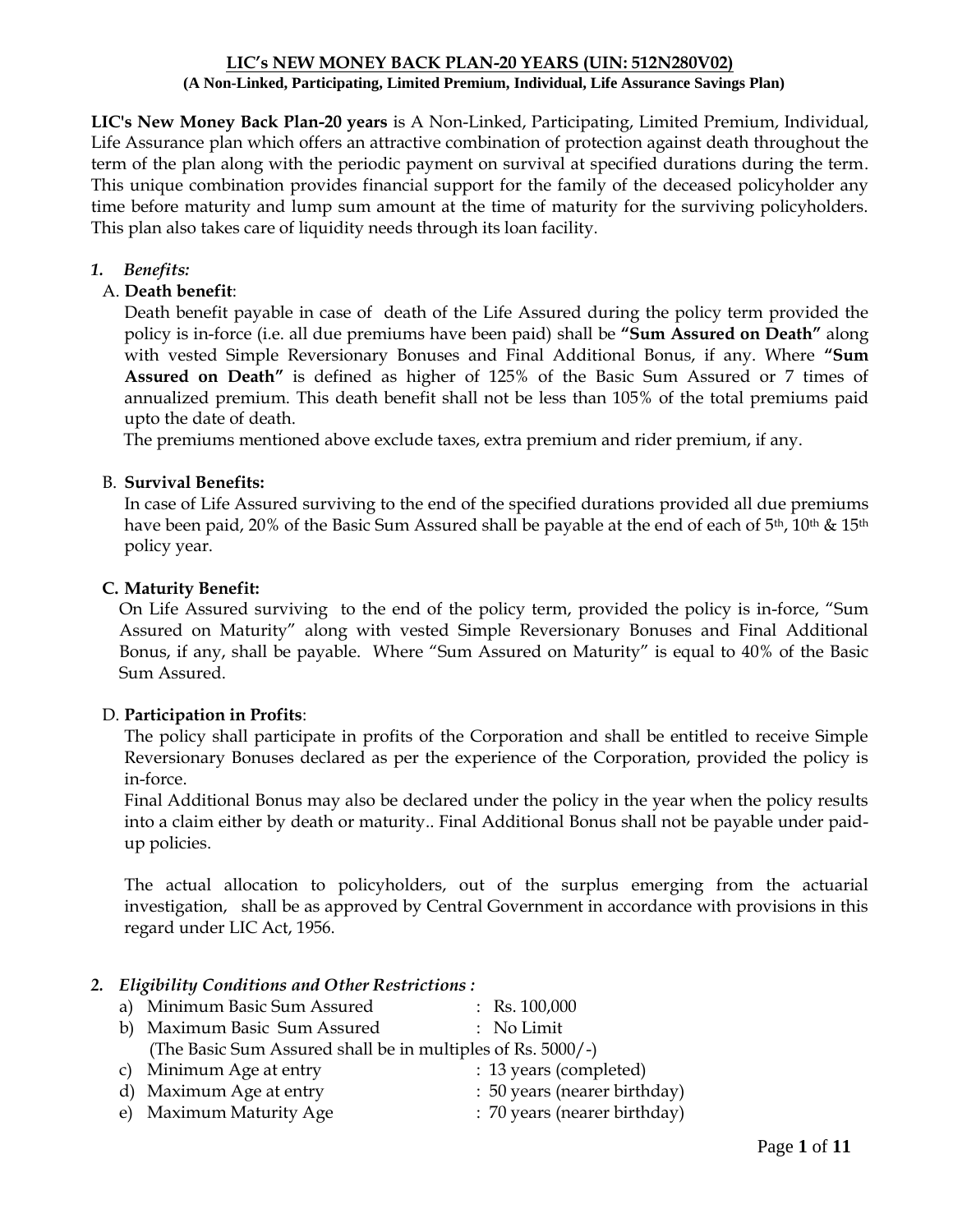#### **LIC's NEW MONEY BACK PLAN-20 YEARS (UIN: 512N280V02) (A Non-Linked, Participating, Limited Premium, Individual, Life Assurance Savings Plan)**

**LIC's New Money Back Plan-20 years** is A Non-Linked, Participating, Limited Premium, Individual, Life Assurance plan which offers an attractive combination of protection against death throughout the term of the plan along with the periodic payment on survival at specified durations during the term. This unique combination provides financial support for the family of the deceased policyholder any time before maturity and lump sum amount at the time of maturity for the surviving policyholders. This plan also takes care of liquidity needs through its loan facility.

## *1. Benefits:*

## A. **Death benefit**:

Death benefit payable in case of death of the Life Assured during the policy term provided the policy is in-force (i.e. all due premiums have been paid) shall be **"Sum Assured on Death"** along with vested Simple Reversionary Bonuses and Final Additional Bonus, if any. Where **"Sum Assured on Death"** is defined as higher of 125% of the Basic Sum Assured or 7 times of annualized premium. This death benefit shall not be less than 105% of the total premiums paid upto the date of death.

The premiums mentioned above exclude taxes, extra premium and rider premium, if any.

### B. **Survival Benefits:**

In case of Life Assured surviving to the end of the specified durations provided all due premiums have been paid, 20% of the Basic Sum Assured shall be payable at the end of each of 5<sup>th</sup>, 10<sup>th</sup> & 15<sup>th</sup> policy year.

### **C. Maturity Benefit:**

On Life Assured surviving to the end of the policy term, provided the policy is in-force, "Sum Assured on Maturity" along with vested Simple Reversionary Bonuses and Final Additional Bonus, if any, shall be payable. Where "Sum Assured on Maturity" is equal to 40% of the Basic Sum Assured.

### D. **Participation in Profits**:

The policy shall participate in profits of the Corporation and shall be entitled to receive Simple Reversionary Bonuses declared as per the experience of the Corporation, provided the policy is in-force.

Final Additional Bonus may also be declared under the policy in the year when the policy results into a claim either by death or maturity.. Final Additional Bonus shall not be payable under paidup policies.

The actual allocation to policyholders, out of the surplus emerging from the actuarial investigation, shall be as approved by Central Government in accordance with provisions in this regard under LIC Act, 1956.

### *2. Eligibility Conditions and Other Restrictions :*

| a) Minimum Basic Sum Assured                                | $:$ Rs. 100,000              |
|-------------------------------------------------------------|------------------------------|
| b) Maximum Basic Sum Assured                                | : No Limit                   |
| (The Basic Sum Assured shall be in multiples of Rs. 5000/-) |                              |
| c) Minimum Age at entry                                     | : 13 years (completed)       |
| d) Maximum Age at entry                                     | : 50 years (nearer birthday) |
| e) Maximum Maturity Age                                     | : 70 years (nearer birthday) |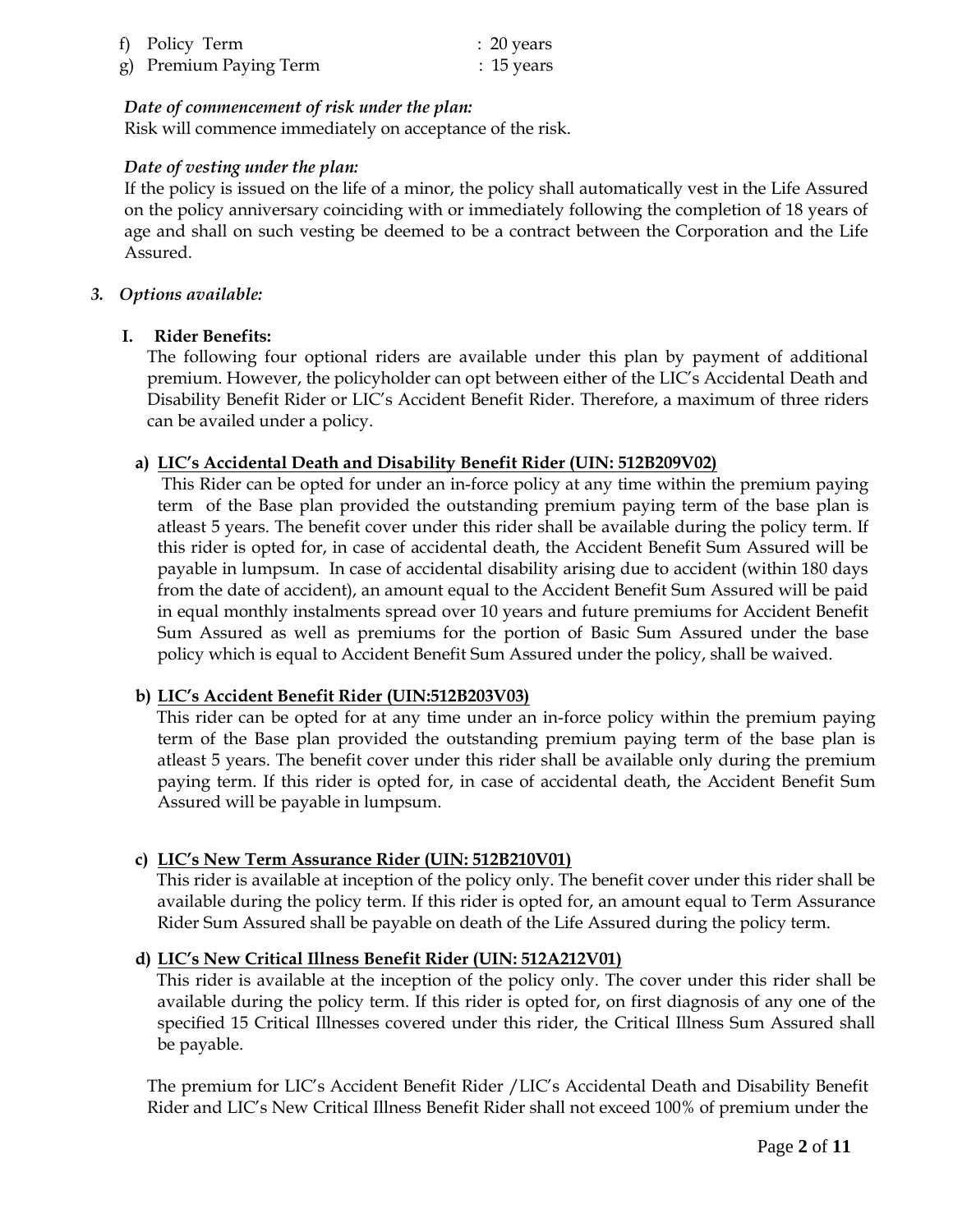| f) Policy Term         | $: 20$ years |
|------------------------|--------------|
| g) Premium Paying Term | $: 15$ years |

## *Date of commencement of risk under the plan:*

Risk will commence immediately on acceptance of the risk.

## *Date of vesting under the plan:*

If the policy is issued on the life of a minor, the policy shall automatically vest in the Life Assured on the policy anniversary coinciding with or immediately following the completion of 18 years of age and shall on such vesting be deemed to be a contract between the Corporation and the Life Assured.

#### *3. Options available:*

### **I. Rider Benefits:**

The following four optional riders are available under this plan by payment of additional premium. However, the policyholder can opt between either of the LIC's Accidental Death and Disability Benefit Rider or LIC's Accident Benefit Rider. Therefore, a maximum of three riders can be availed under a policy.

### **a) LIC's Accidental Death and Disability Benefit Rider (UIN: 512B209V02)**

This Rider can be opted for under an in-force policy at any time within the premium paying term of the Base plan provided the outstanding premium paying term of the base plan is atleast 5 years. The benefit cover under this rider shall be available during the policy term. If this rider is opted for, in case of accidental death, the Accident Benefit Sum Assured will be payable in lumpsum. In case of accidental disability arising due to accident (within 180 days from the date of accident), an amount equal to the Accident Benefit Sum Assured will be paid in equal monthly instalments spread over 10 years and future premiums for Accident Benefit Sum Assured as well as premiums for the portion of Basic Sum Assured under the base policy which is equal to Accident Benefit Sum Assured under the policy, shall be waived.

### **b) LIC's Accident Benefit Rider (UIN:512B203V03)**

 This rider can be opted for at any time under an in-force policy within the premium paying term of the Base plan provided the outstanding premium paying term of the base plan is atleast 5 years. The benefit cover under this rider shall be available only during the premium paying term. If this rider is opted for, in case of accidental death, the Accident Benefit Sum Assured will be payable in lumpsum.

### **c) LIC's New Term Assurance Rider (UIN: 512B210V01)**

 This rider is available at inception of the policy only. The benefit cover under this rider shall be available during the policy term. If this rider is opted for, an amount equal to Term Assurance Rider Sum Assured shall be payable on death of the Life Assured during the policy term.

### **d) LIC's New Critical Illness Benefit Rider (UIN: 512A212V01)**

 This rider is available at the inception of the policy only. The cover under this rider shall be available during the policy term. If this rider is opted for, on first diagnosis of any one of the specified 15 Critical Illnesses covered under this rider, the Critical Illness Sum Assured shall be payable.

The premium for LIC's Accident Benefit Rider /LIC's Accidental Death and Disability Benefit Rider and LIC's New Critical Illness Benefit Rider shall not exceed 100% of premium under the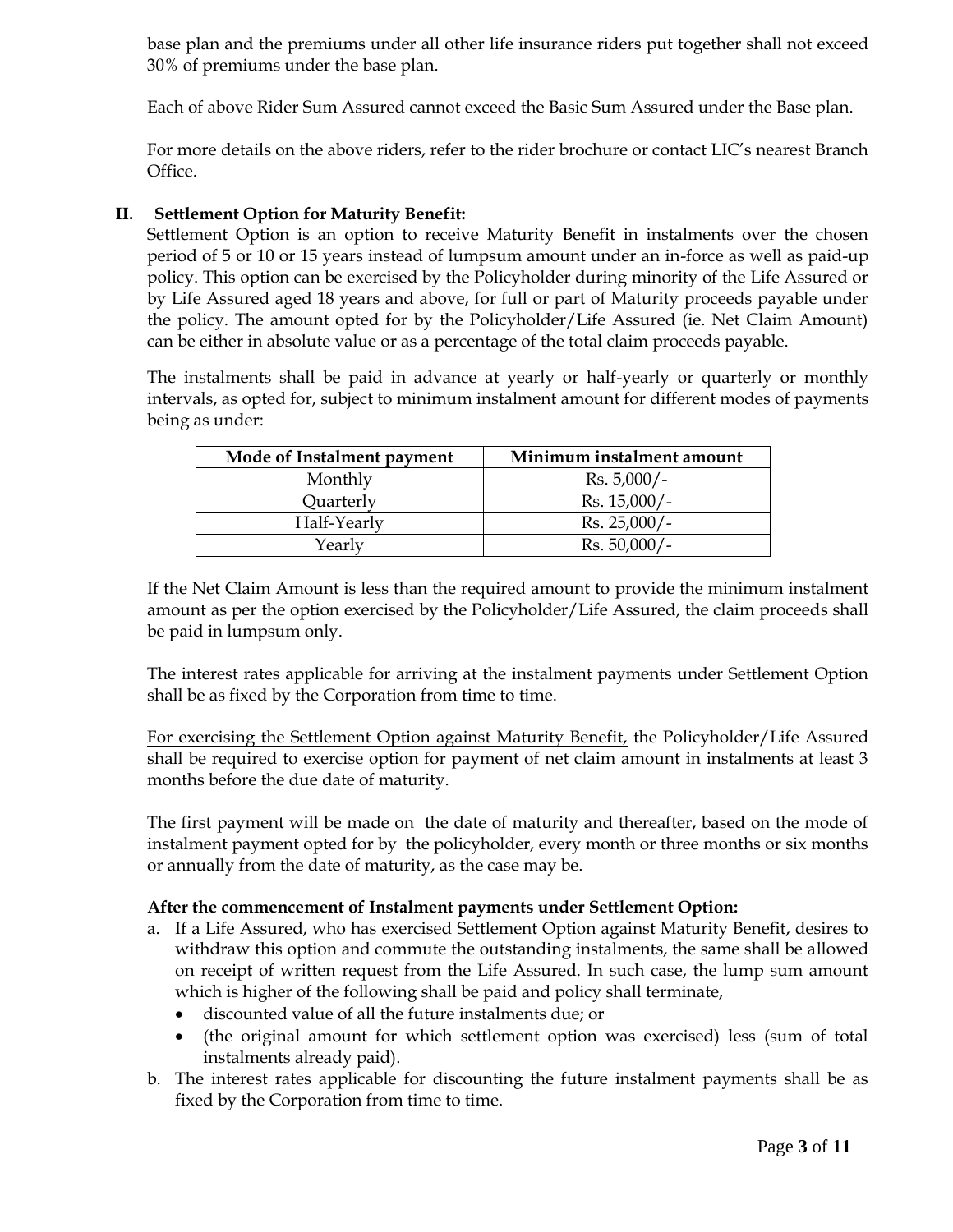base plan and the premiums under all other life insurance riders put together shall not exceed 30% of premiums under the base plan.

Each of above Rider Sum Assured cannot exceed the Basic Sum Assured under the Base plan.

For more details on the above riders, refer to the rider brochure or contact LIC's nearest Branch Office.

## **II. Settlement Option for Maturity Benefit:**

Settlement Option is an option to receive Maturity Benefit in instalments over the chosen period of 5 or 10 or 15 years instead of lumpsum amount under an in-force as well as paid-up policy. This option can be exercised by the Policyholder during minority of the Life Assured or by Life Assured aged 18 years and above, for full or part of Maturity proceeds payable under the policy. The amount opted for by the Policyholder/Life Assured (ie. Net Claim Amount) can be either in absolute value or as a percentage of the total claim proceeds payable.

The instalments shall be paid in advance at yearly or half-yearly or quarterly or monthly intervals, as opted for, subject to minimum instalment amount for different modes of payments being as under:

| Mode of Instalment payment | Minimum instalment amount |
|----------------------------|---------------------------|
| Monthly                    | $Rs. 5,000/-$             |
| Quarterly                  | $Rs. 15,000/-$            |
| Half-Yearly                | $Rs. 25,000/-$            |
| Yearly                     | $Rs. 50,000/-$            |

If the Net Claim Amount is less than the required amount to provide the minimum instalment amount as per the option exercised by the Policyholder/Life Assured, the claim proceeds shall be paid in lumpsum only.

The interest rates applicable for arriving at the instalment payments under Settlement Option shall be as fixed by the Corporation from time to time.

For exercising the Settlement Option against Maturity Benefit, the Policyholder/Life Assured shall be required to exercise option for payment of net claim amount in instalments at least 3 months before the due date of maturity.

The first payment will be made on the date of maturity and thereafter, based on the mode of instalment payment opted for by the policyholder, every month or three months or six months or annually from the date of maturity, as the case may be.

### **After the commencement of Instalment payments under Settlement Option:**

- a. If a Life Assured, who has exercised Settlement Option against Maturity Benefit, desires to withdraw this option and commute the outstanding instalments, the same shall be allowed on receipt of written request from the Life Assured. In such case, the lump sum amount which is higher of the following shall be paid and policy shall terminate,
	- discounted value of all the future instalments due; or
	- (the original amount for which settlement option was exercised) less (sum of total instalments already paid).
- b. The interest rates applicable for discounting the future instalment payments shall be as fixed by the Corporation from time to time.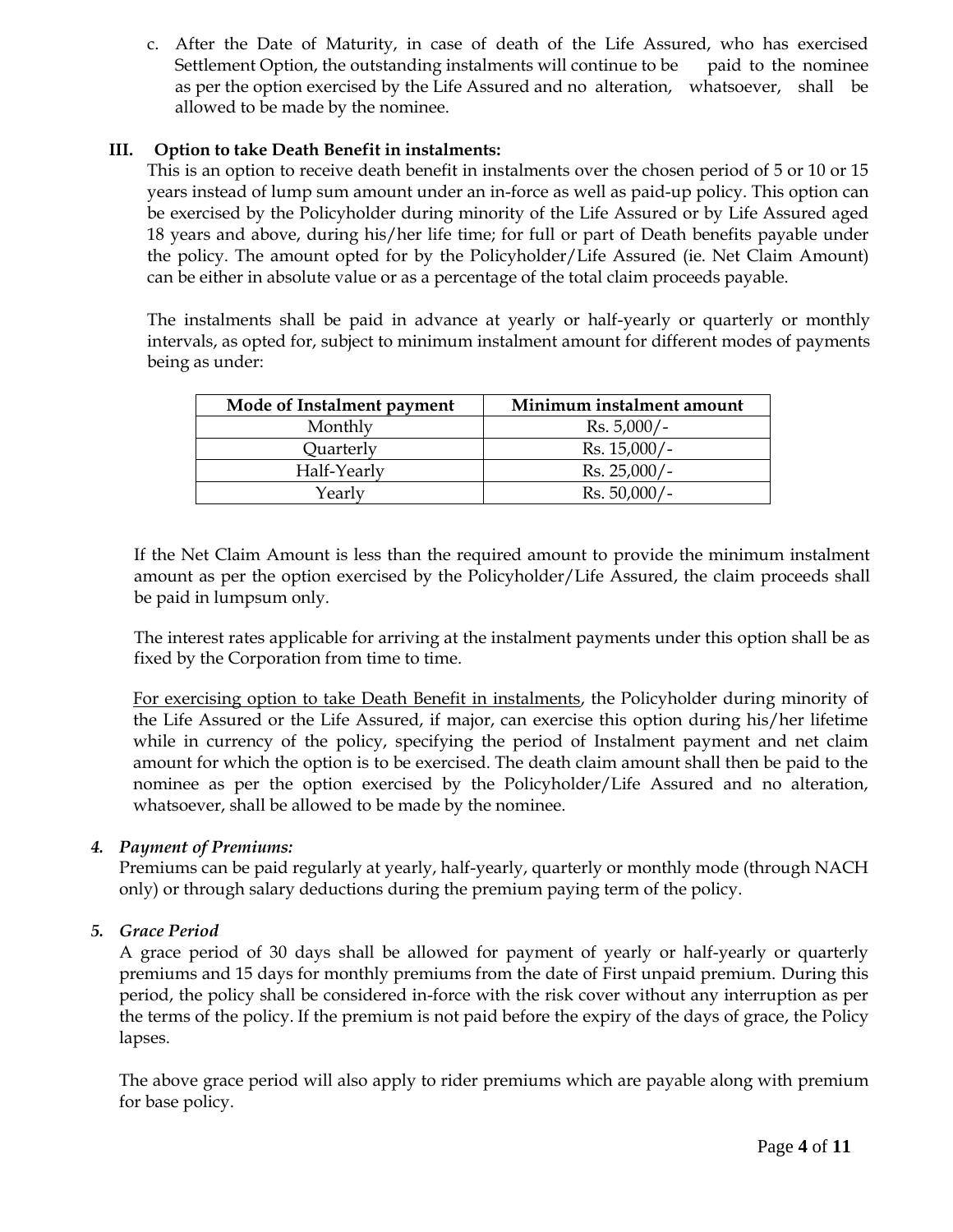c. After the Date of Maturity, in case of death of the Life Assured, who has exercised Settlement Option, the outstanding instalments will continue to be paid to the nominee as per the option exercised by the Life Assured and no alteration, whatsoever, shall be allowed to be made by the nominee.

## **III. Option to take Death Benefit in instalments:**

This is an option to receive death benefit in instalments over the chosen period of 5 or 10 or 15 years instead of lump sum amount under an in-force as well as paid-up policy. This option can be exercised by the Policyholder during minority of the Life Assured or by Life Assured aged 18 years and above, during his/her life time; for full or part of Death benefits payable under the policy. The amount opted for by the Policyholder/Life Assured (ie. Net Claim Amount) can be either in absolute value or as a percentage of the total claim proceeds payable.

The instalments shall be paid in advance at yearly or half-yearly or quarterly or monthly intervals, as opted for, subject to minimum instalment amount for different modes of payments being as under:

| Mode of Instalment payment | Minimum instalment amount |
|----------------------------|---------------------------|
| Monthly                    | $Rs. 5,000/-$             |
| Quarterly                  | $Rs. 15,000/-$            |
| Half-Yearly                | $Rs. 25,000/-$            |
| Yearly                     | $Rs. 50,000/-$            |

If the Net Claim Amount is less than the required amount to provide the minimum instalment amount as per the option exercised by the Policyholder/Life Assured, the claim proceeds shall be paid in lumpsum only.

The interest rates applicable for arriving at the instalment payments under this option shall be as fixed by the Corporation from time to time.

For exercising option to take Death Benefit in instalments, the Policyholder during minority of the Life Assured or the Life Assured, if major, can exercise this option during his/her lifetime while in currency of the policy, specifying the period of Instalment payment and net claim amount for which the option is to be exercised. The death claim amount shall then be paid to the nominee as per the option exercised by the Policyholder/Life Assured and no alteration, whatsoever, shall be allowed to be made by the nominee.

### *4. Payment of Premiums:*

Premiums can be paid regularly at yearly, half-yearly, quarterly or monthly mode (through NACH only) or through salary deductions during the premium paying term of the policy.

### *5. Grace Period*

A grace period of 30 days shall be allowed for payment of yearly or half-yearly or quarterly premiums and 15 days for monthly premiums from the date of First unpaid premium. During this period, the policy shall be considered in-force with the risk cover without any interruption as per the terms of the policy. If the premium is not paid before the expiry of the days of grace, the Policy lapses.

The above grace period will also apply to rider premiums which are payable along with premium for base policy.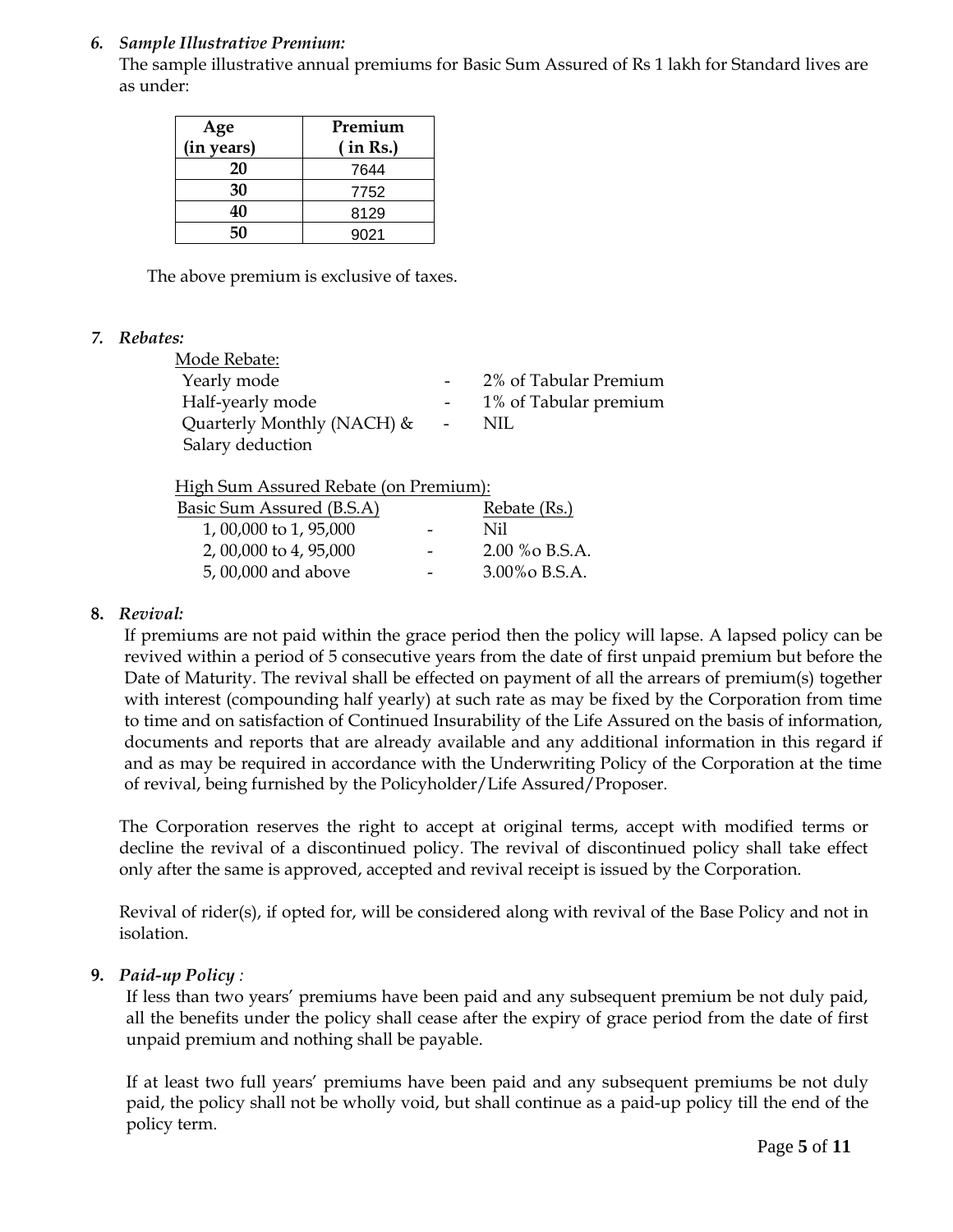## *6. Sample Illustrative Premium:*

The sample illustrative annual premiums for Basic Sum Assured of Rs 1 lakh for Standard lives are as under:

| Age<br>(in years) | Premium<br>(in Rs.) |  |  |  |  |  |
|-------------------|---------------------|--|--|--|--|--|
| 20                | 7644                |  |  |  |  |  |
| 30                | 7752                |  |  |  |  |  |
| 40                | 8129                |  |  |  |  |  |
| 50                | 9021                |  |  |  |  |  |

The above premium is exclusive of taxes.

### *7. Rebates:*

| Mode Rebate:                  |                         |                       |
|-------------------------------|-------------------------|-----------------------|
| Yearly mode                   |                         | 2% of Tabular Premium |
| Half-yearly mode              |                         | 1% of Tabular premium |
| Quarterly Monthly (NACH) $\&$ | $\sim 100$ km s $^{-1}$ | NIL                   |
| Salary deduction              |                         |                       |
|                               |                         |                       |

High Sum Assured Rebate (on Premium):

| Basic Sum Assured (B.S.A) |                          | Rebate (Rs.)  |
|---------------------------|--------------------------|---------------|
| 1,00,000 to 1,95,000      | $\overline{\phantom{0}}$ | Nil           |
| 2, 00,000 to 4, 95,000    |                          | 2.00 % B.S.A. |
| 5,00,000 and above        |                          | 3.00% B.S.A.  |

## **8.** *Revival:*

If premiums are not paid within the grace period then the policy will lapse. A lapsed policy can be revived within a period of 5 consecutive years from the date of first unpaid premium but before the Date of Maturity. The revival shall be effected on payment of all the arrears of premium(s) together with interest (compounding half yearly) at such rate as may be fixed by the Corporation from time to time and on satisfaction of Continued Insurability of the Life Assured on the basis of information, documents and reports that are already available and any additional information in this regard if and as may be required in accordance with the Underwriting Policy of the Corporation at the time of revival, being furnished by the Policyholder/Life Assured/Proposer.

The Corporation reserves the right to accept at original terms, accept with modified terms or decline the revival of a discontinued policy. The revival of discontinued policy shall take effect only after the same is approved, accepted and revival receipt is issued by the Corporation.

Revival of rider(s), if opted for, will be considered along with revival of the Base Policy and not in isolation.

### **9.** *Paid-up Policy :*

If less than two years' premiums have been paid and any subsequent premium be not duly paid, all the benefits under the policy shall cease after the expiry of grace period from the date of first unpaid premium and nothing shall be payable.

If at least two full years' premiums have been paid and any subsequent premiums be not duly paid, the policy shall not be wholly void, but shall continue as a paid-up policy till the end of the policy term.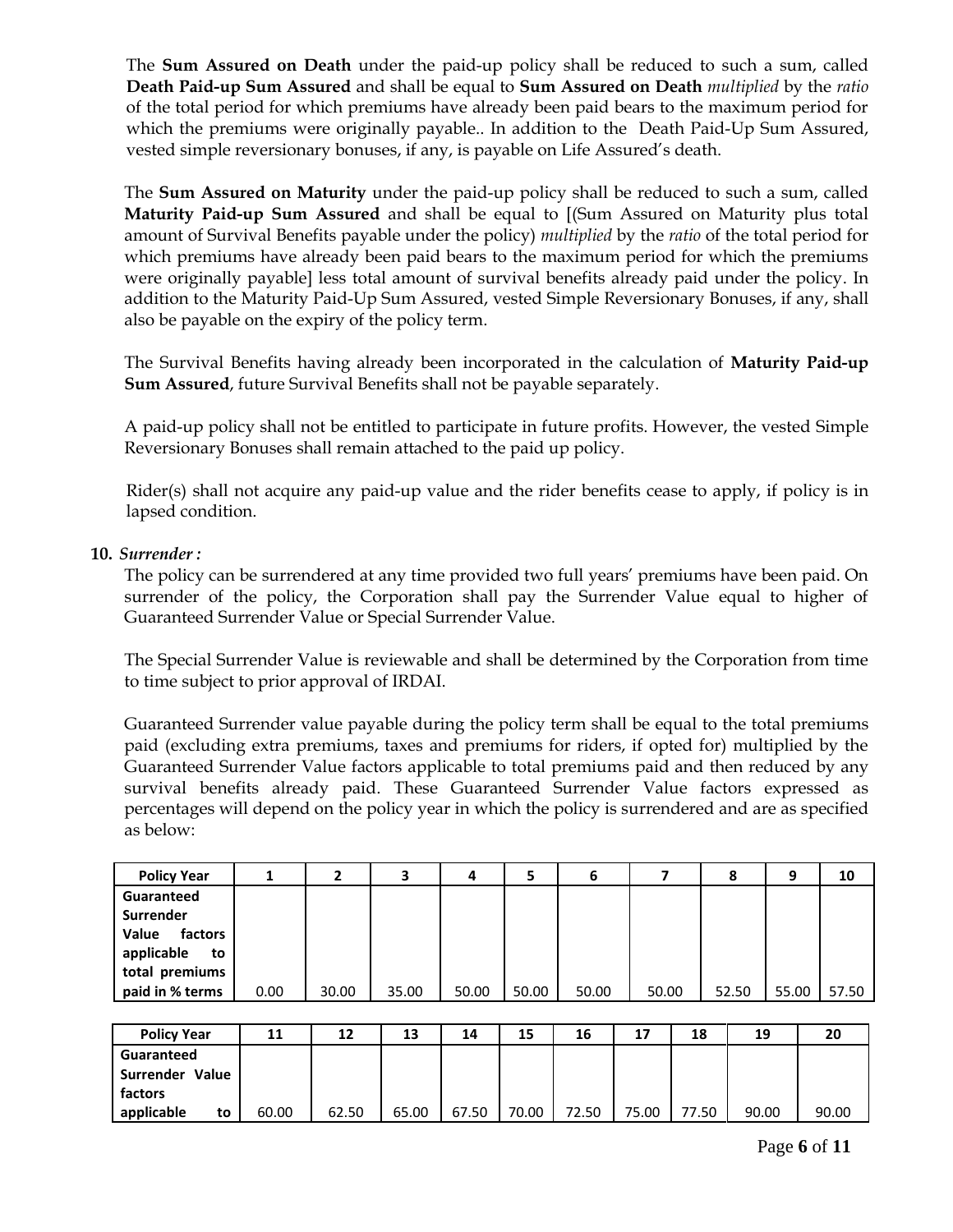The **Sum Assured on Death** under the paid-up policy shall be reduced to such a sum, called **Death Paid-up Sum Assured** and shall be equal to **Sum Assured on Death** *multiplied* by the *ratio* of the total period for which premiums have already been paid bears to the maximum period for which the premiums were originally payable.. In addition to the Death Paid-Up Sum Assured, vested simple reversionary bonuses, if any, is payable on Life Assured's death.

The **Sum Assured on Maturity** under the paid-up policy shall be reduced to such a sum, called **Maturity Paid-up Sum Assured** and shall be equal to [(Sum Assured on Maturity plus total amount of Survival Benefits payable under the policy) *multiplied* by the *ratio* of the total period for which premiums have already been paid bears to the maximum period for which the premiums were originally payable] less total amount of survival benefits already paid under the policy. In addition to the Maturity Paid-Up Sum Assured, vested Simple Reversionary Bonuses, if any, shall also be payable on the expiry of the policy term.

The Survival Benefits having already been incorporated in the calculation of **Maturity Paid-up Sum Assured**, future Survival Benefits shall not be payable separately.

A paid-up policy shall not be entitled to participate in future profits. However, the vested Simple Reversionary Bonuses shall remain attached to the paid up policy.

Rider(s) shall not acquire any paid-up value and the rider benefits cease to apply, if policy is in lapsed condition.

### **10.** *Surrender :*

The policy can be surrendered at any time provided two full years' premiums have been paid. On surrender of the policy, the Corporation shall pay the Surrender Value equal to higher of Guaranteed Surrender Value or Special Surrender Value.

The Special Surrender Value is reviewable and shall be determined by the Corporation from time to time subject to prior approval of IRDAI.

Guaranteed Surrender value payable during the policy term shall be equal to the total premiums paid (excluding extra premiums, taxes and premiums for riders, if opted for) multiplied by the Guaranteed Surrender Value factors applicable to total premiums paid and then reduced by any survival benefits already paid. These Guaranteed Surrender Value factors expressed as percentages will depend on the policy year in which the policy is surrendered and are as specified as below:

| <b>Policy Year</b>                                                                                   | 1     | 2     | 3     | 4     | 5     | 6     | 7     |       | 8     | 9     | 10    |
|------------------------------------------------------------------------------------------------------|-------|-------|-------|-------|-------|-------|-------|-------|-------|-------|-------|
| Guaranteed<br>Surrender<br>factors<br>Value<br>applicable<br>to<br>total premiums<br>paid in % terms | 0.00  | 30.00 | 35.00 | 50.00 | 50.00 | 50.00 | 50.00 |       | 52.50 | 55.00 | 57.50 |
| <b>Policy Year</b>                                                                                   | 11    | 12    | 13    | 14    | 15    | 16    | 17    | 18    | 19    |       | 20    |
| Guaranteed                                                                                           |       |       |       |       |       |       |       |       |       |       |       |
| Surrender Value                                                                                      |       |       |       |       |       |       |       |       |       |       |       |
| factors                                                                                              |       |       |       |       |       |       |       |       |       |       |       |
| applicable<br>to                                                                                     | 60.00 | 62.50 | 65.00 | 67.50 | 70.00 | 72.50 | 75.00 | 77.50 | 90.00 |       | 90.00 |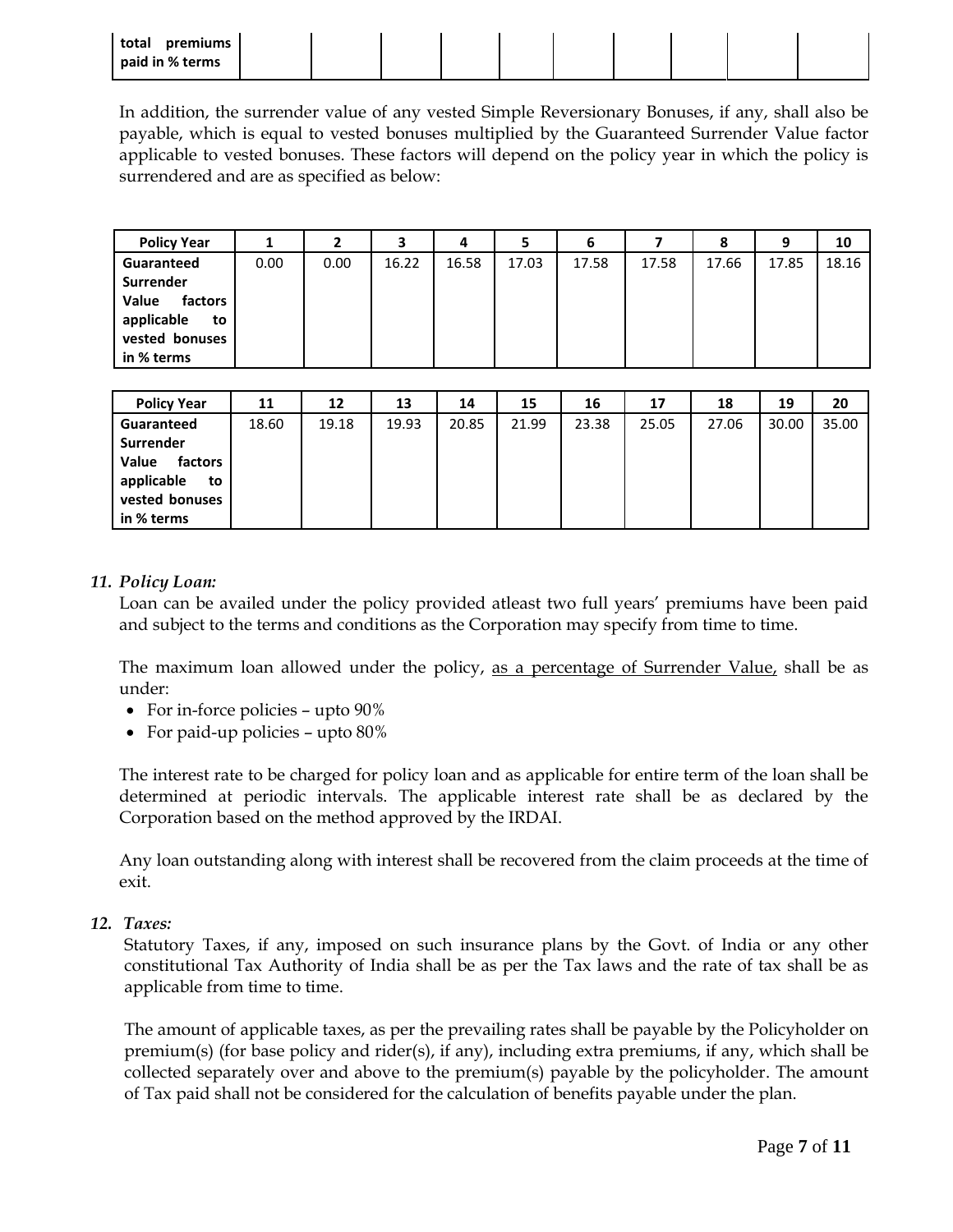| total<br>premiums |  |  |  |  |  |
|-------------------|--|--|--|--|--|
| paid in % terms   |  |  |  |  |  |

In addition, the surrender value of any vested Simple Reversionary Bonuses, if any, shall also be payable, which is equal to vested bonuses multiplied by the Guaranteed Surrender Value factor applicable to vested bonuses. These factors will depend on the policy year in which the policy is surrendered and are as specified as below:

| <b>Policy Year</b>                                                                |      |      | 3     | 4     | 5     | 6     |       | 8     | 9     | 10    |
|-----------------------------------------------------------------------------------|------|------|-------|-------|-------|-------|-------|-------|-------|-------|
| Guaranteed                                                                        | 0.00 | 0.00 | 16.22 | 16.58 | 17.03 | 17.58 | 17.58 | 17.66 | 17.85 | 18.16 |
| Surrender<br>Value<br>factors<br>applicable<br>to<br>vested bonuses<br>in % terms |      |      |       |       |       |       |       |       |       |       |

| <b>Policy Year</b>                                                                | 11    | 12    | 13    | 14    | 15    | 16    | 17    | 18    | 19    | 20    |
|-----------------------------------------------------------------------------------|-------|-------|-------|-------|-------|-------|-------|-------|-------|-------|
| Guaranteed                                                                        | 18.60 | 19.18 | 19.93 | 20.85 | 21.99 | 23.38 | 25.05 | 27.06 | 30.00 | 35.00 |
| Surrender<br>Value<br>factors<br>applicable<br>to<br>vested bonuses<br>in % terms |       |       |       |       |       |       |       |       |       |       |

#### *11. Policy Loan:*

Loan can be availed under the policy provided atleast two full years' premiums have been paid and subject to the terms and conditions as the Corporation may specify from time to time.

The maximum loan allowed under the policy, as a percentage of Surrender Value, shall be as under:

- For in-force policies upto 90%
- For paid-up policies upto 80%

The interest rate to be charged for policy loan and as applicable for entire term of the loan shall be determined at periodic intervals. The applicable interest rate shall be as declared by the Corporation based on the method approved by the IRDAI.

Any loan outstanding along with interest shall be recovered from the claim proceeds at the time of exit.

*12. Taxes:* 

Statutory Taxes, if any, imposed on such insurance plans by the Govt. of India or any other constitutional Tax Authority of India shall be as per the Tax laws and the rate of tax shall be as applicable from time to time.

The amount of applicable taxes, as per the prevailing rates shall be payable by the Policyholder on premium(s) (for base policy and rider(s), if any), including extra premiums, if any, which shall be collected separately over and above to the premium(s) payable by the policyholder. The amount of Tax paid shall not be considered for the calculation of benefits payable under the plan.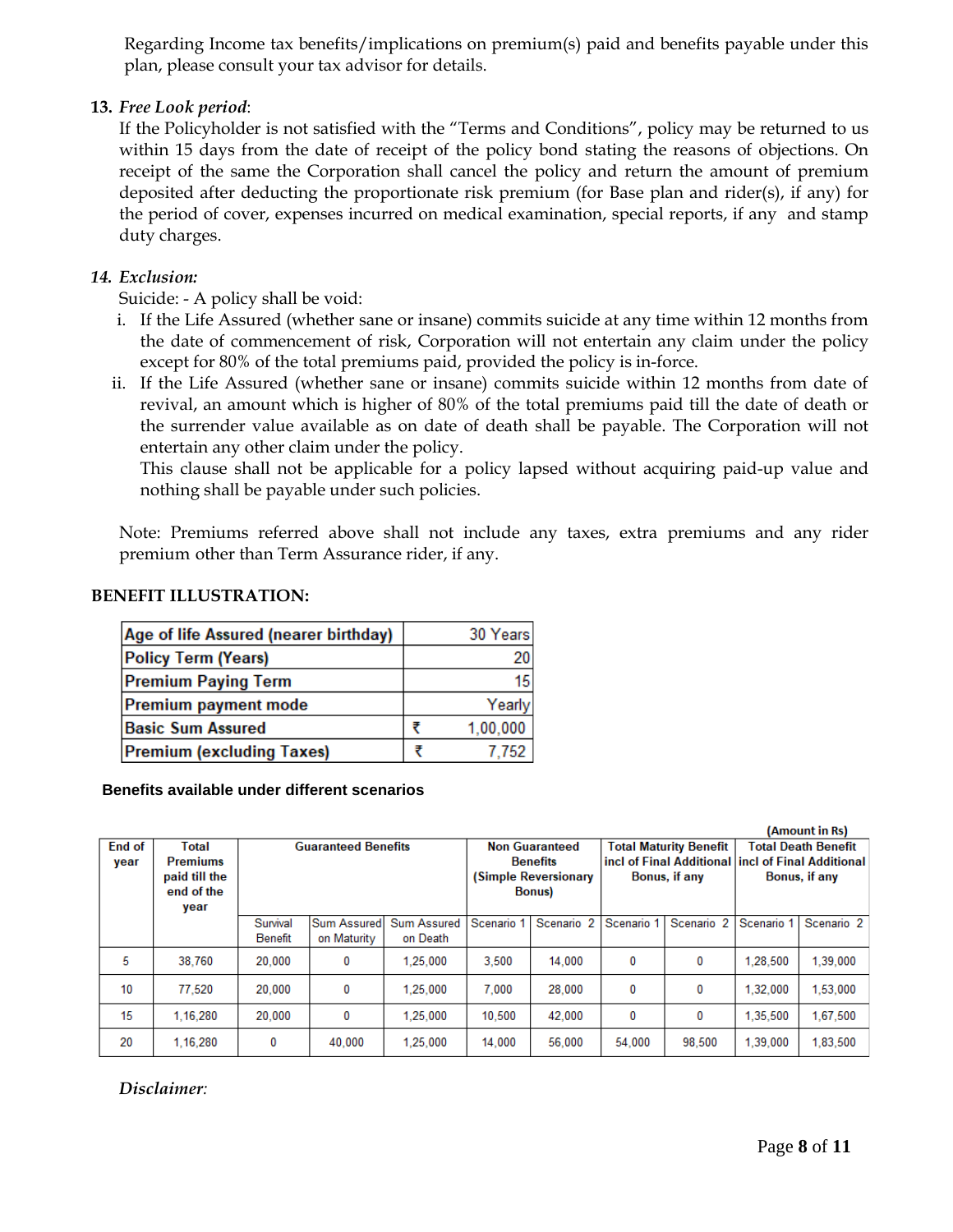Regarding Income tax benefits/implications on premium(s) paid and benefits payable under this plan, please consult your tax advisor for details.

## **13.** *Free Look period*:

If the Policyholder is not satisfied with the "Terms and Conditions", policy may be returned to us within 15 days from the date of receipt of the policy bond stating the reasons of objections. On receipt of the same the Corporation shall cancel the policy and return the amount of premium deposited after deducting the proportionate risk premium (for Base plan and rider(s), if any) for the period of cover, expenses incurred on medical examination, special reports, if any and stamp duty charges.

## *14. Exclusion:*

Suicide: - A policy shall be void:

- i. If the Life Assured (whether sane or insane) commits suicide at any time within 12 months from the date of commencement of risk, Corporation will not entertain any claim under the policy except for 80% of the total premiums paid, provided the policy is in-force.
- ii. If the Life Assured (whether sane or insane) commits suicide within 12 months from date of revival, an amount which is higher of 80% of the total premiums paid till the date of death or the surrender value available as on date of death shall be payable. The Corporation will not entertain any other claim under the policy.

This clause shall not be applicable for a policy lapsed without acquiring paid-up value and nothing shall be payable under such policies.

Note: Premiums referred above shall not include any taxes, extra premiums and any rider premium other than Term Assurance rider, if any.

### **BENEFIT ILLUSTRATION:**

| Age of life Assured (nearer birthday) | 30 Years |
|---------------------------------------|----------|
| <b>Policy Term (Years)</b>            | 20       |
| <b>Premium Paying Term</b>            | 15       |
| Premium payment mode                  | Yearly   |
| <b>Basic Sum Assured</b>              | 1,00,000 |
| <b>Premium (excluding Taxes)</b>      | 7,752    |

#### **Benefits available under different scenarios**

|        |                 | (Amount in Rs)             |             |                    |                       |                       |                               |                       |                                                    |                       |
|--------|-----------------|----------------------------|-------------|--------------------|-----------------------|-----------------------|-------------------------------|-----------------------|----------------------------------------------------|-----------------------|
| End of | Total           | <b>Guaranteed Benefits</b> |             |                    | <b>Non Guaranteed</b> |                       | <b>Total Maturity Benefit</b> |                       | <b>Total Death Benefit</b>                         |                       |
| year   | <b>Premiums</b> |                            |             |                    | <b>Benefits</b>       |                       |                               |                       | incl of Final Additional lincl of Final Additional |                       |
|        | paid till the   |                            |             |                    | (Simple Reversionary  |                       | Bonus, if any                 |                       | Bonus, if any                                      |                       |
|        | end of the      |                            |             |                    | <b>Bonus</b>          |                       |                               |                       |                                                    |                       |
|        | year            |                            |             |                    |                       |                       |                               |                       |                                                    |                       |
|        |                 | Survival                   | Sum Assured | <b>Sum Assured</b> | Scenario 1            | Scenario <sub>2</sub> | Scenario 1                    | Scenario <sub>2</sub> | Scenario 1                                         | Scenario <sub>2</sub> |
|        |                 | <b>Benefit</b>             | on Maturity | on Death           |                       |                       |                               |                       |                                                    |                       |
| 5      | 38,760          | 20,000                     | 0           | 1.25.000           | 3.500                 | 14,000                | 0                             | 0                     | 1.28.500                                           | 1,39,000              |
| 10     | 77.520          | 20,000                     | 0           | 1.25.000           | 7.000                 | 28,000                | 0                             | 0                     | 1.32.000                                           | 1.53.000              |
| 15     | 1.16.280        | 20,000                     | 0           | 1.25.000           | 10.500                | 42,000                | 0                             | 0                     | 1,35,500                                           | 1,67,500              |
| 20     | 1.16.280        | 0                          | 40.000      | 1.25.000           | 14.000                | 56,000                | 54.000                        | 98,500                | 1.39.000                                           | 1,83,500              |

*Disclaimer:*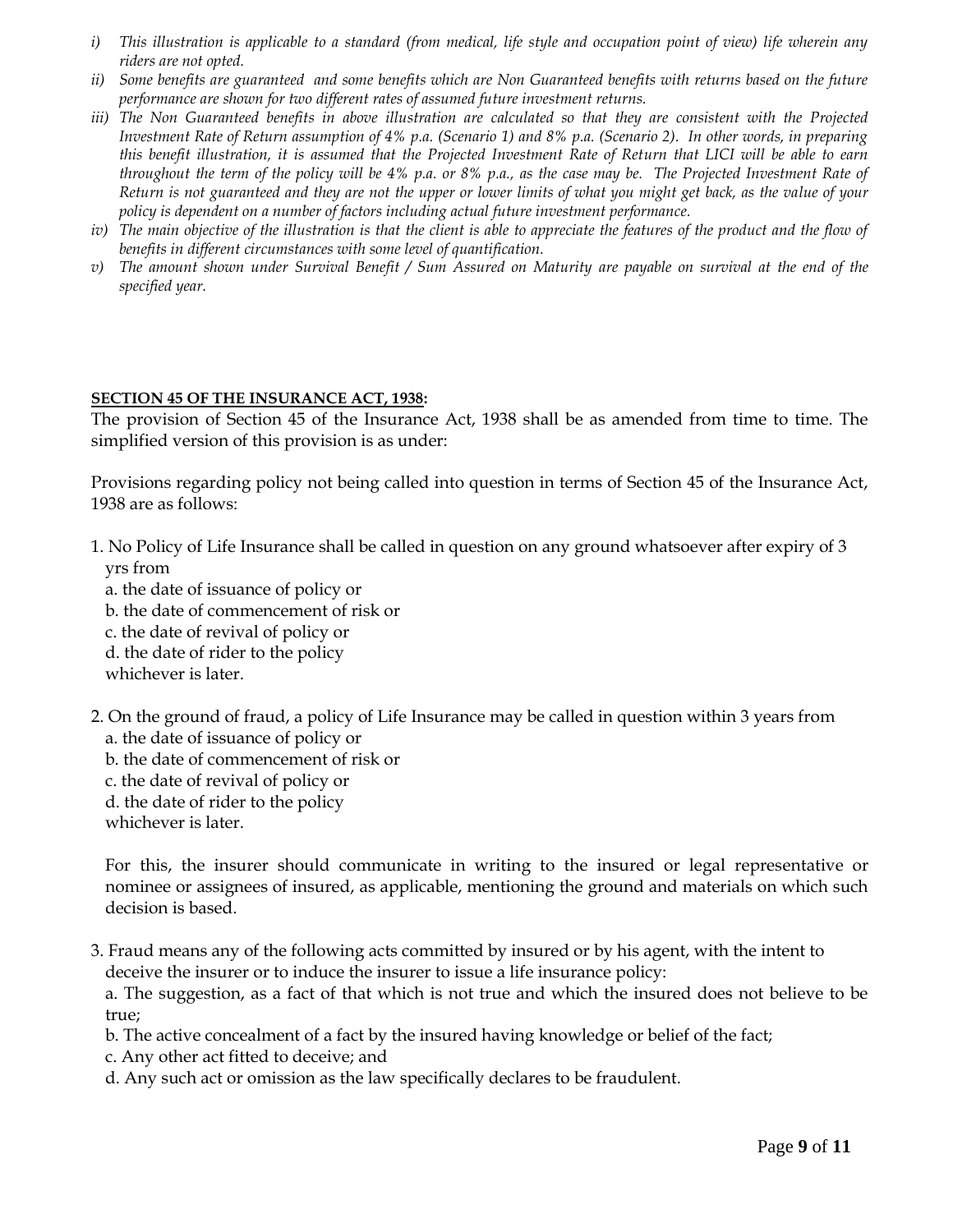- *i) This illustration is applicable to a standard (from medical, life style and occupation point of view) life wherein any riders are not opted.*
- *ii) Some benefits are guaranteed and some benefits which are Non Guaranteed benefits with returns based on the future performance are shown for two different rates of assumed future investment returns.*
- *iii)* The Non Guaranteed benefits in above illustration are calculated so that they are consistent with the Projected *Investment Rate of Return assumption of 4% p.a. (Scenario 1) and 8% p.a. (Scenario 2). In other words, in preparing this benefit illustration, it is assumed that the Projected Investment Rate of Return that LICI will be able to earn throughout the term of the policy will be 4% p.a. or 8% p.a., as the case may be. The Projected Investment Rate of Return is not guaranteed and they are not the upper or lower limits of what you might get back, as the value of your policy is dependent on a number of factors including actual future investment performance.*
- *iv*) The main objective of the illustration is that the client is able to appreciate the features of the product and the flow of *benefits in different circumstances with some level of quantification.*
- *v) The amount shown under Survival Benefit / Sum Assured on Maturity are payable on survival at the end of the specified year.*

#### **SECTION 45 OF THE INSURANCE ACT, 1938:**

The provision of Section 45 of the Insurance Act, 1938 shall be as amended from time to time. The simplified version of this provision is as under:

Provisions regarding policy not being called into question in terms of Section 45 of the Insurance Act, 1938 are as follows:

- 1. No Policy of Life Insurance shall be called in question on any ground whatsoever after expiry of 3 yrs from
	- a. the date of issuance of policy or
	- b. the date of commencement of risk or
	- c. the date of revival of policy or
	- d. the date of rider to the policy
	- whichever is later.
- 2. On the ground of fraud, a policy of Life Insurance may be called in question within 3 years from a. the date of issuance of policy or
	- b. the date of commencement of risk or
	- c. the date of revival of policy or
	- d. the date of rider to the policy

whichever is later.

For this, the insurer should communicate in writing to the insured or legal representative or nominee or assignees of insured, as applicable, mentioning the ground and materials on which such decision is based.

3. Fraud means any of the following acts committed by insured or by his agent, with the intent to deceive the insurer or to induce the insurer to issue a life insurance policy:

a. The suggestion, as a fact of that which is not true and which the insured does not believe to be true;

b. The active concealment of a fact by the insured having knowledge or belief of the fact;

- c. Any other act fitted to deceive; and
- d. Any such act or omission as the law specifically declares to be fraudulent.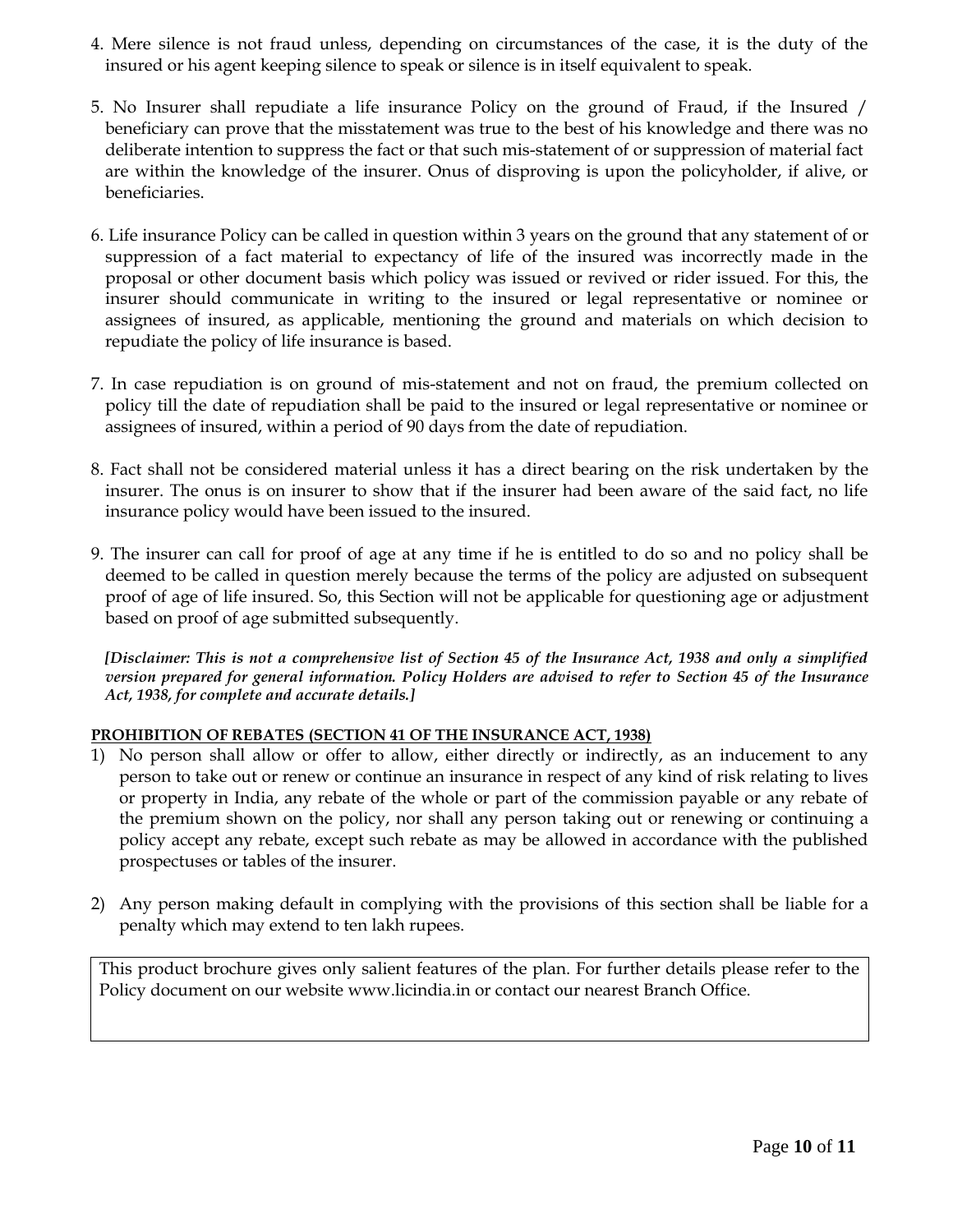- 4. Mere silence is not fraud unless, depending on circumstances of the case, it is the duty of the insured or his agent keeping silence to speak or silence is in itself equivalent to speak.
- 5. No Insurer shall repudiate a life insurance Policy on the ground of Fraud, if the Insured / beneficiary can prove that the misstatement was true to the best of his knowledge and there was no deliberate intention to suppress the fact or that such mis-statement of or suppression of material fact are within the knowledge of the insurer. Onus of disproving is upon the policyholder, if alive, or beneficiaries.
- 6. Life insurance Policy can be called in question within 3 years on the ground that any statement of or suppression of a fact material to expectancy of life of the insured was incorrectly made in the proposal or other document basis which policy was issued or revived or rider issued. For this, the insurer should communicate in writing to the insured or legal representative or nominee or assignees of insured, as applicable, mentioning the ground and materials on which decision to repudiate the policy of life insurance is based.
- 7. In case repudiation is on ground of mis-statement and not on fraud, the premium collected on policy till the date of repudiation shall be paid to the insured or legal representative or nominee or assignees of insured, within a period of 90 days from the date of repudiation.
- 8. Fact shall not be considered material unless it has a direct bearing on the risk undertaken by the insurer. The onus is on insurer to show that if the insurer had been aware of the said fact, no life insurance policy would have been issued to the insured.
- 9. The insurer can call for proof of age at any time if he is entitled to do so and no policy shall be deemed to be called in question merely because the terms of the policy are adjusted on subsequent proof of age of life insured. So, this Section will not be applicable for questioning age or adjustment based on proof of age submitted subsequently.

*[Disclaimer: This is not a comprehensive list of Section 45 of the Insurance Act, 1938 and only a simplified version prepared for general information. Policy Holders are advised to refer to Section 45 of the Insurance Act, 1938, for complete and accurate details.]*

### **PROHIBITION OF REBATES (SECTION 41 OF THE INSURANCE ACT, 1938)**

- 1) No person shall allow or offer to allow, either directly or indirectly, as an inducement to any person to take out or renew or continue an insurance in respect of any kind of risk relating to lives or property in India, any rebate of the whole or part of the commission payable or any rebate of the premium shown on the policy, nor shall any person taking out or renewing or continuing a policy accept any rebate, except such rebate as may be allowed in accordance with the published prospectuses or tables of the insurer.
- 2) Any person making default in complying with the provisions of this section shall be liable for a penalty which may extend to ten lakh rupees.

This product brochure gives only salient features of the plan. For further details please refer to the Policy document on our website [www.licindia.in](http://www.licindia.in/) or contact our nearest Branch Office.